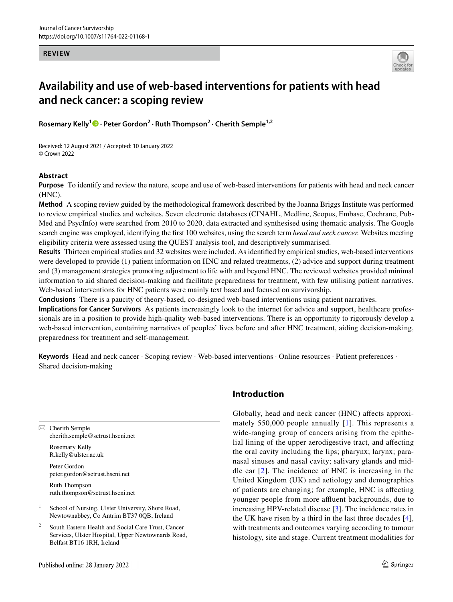#### **REVIEW**



# **Availability and use of web‑based interventions for patients with head and neck cancer: a scoping review**

Rosemary Kelly<sup>1</sup><sup>®</sup> [·](http://orcid.org/0000-0001-6709-2227) Peter Gordon<sup>2</sup> · Ruth Thompson<sup>2</sup> · Cherith Semple<sup>1,2</sup>

Received: 12 August 2021 / Accepted: 10 January 2022 © Crown 2022

### **Abstract**

**Purpose** To identify and review the nature, scope and use of web-based interventions for patients with head and neck cancer (HNC).

**Method** A scoping review guided by the methodological framework described by the Joanna Briggs Institute was performed to review empirical studies and websites. Seven electronic databases (CINAHL, Medline, Scopus, Embase, Cochrane, Pub-Med and PsycInfo) were searched from 2010 to 2020, data extracted and synthesised using thematic analysis. The Google search engine was employed, identifying the frst 100 websites, using the search term *head and neck cancer.* Websites meeting eligibility criteria were assessed using the QUEST analysis tool, and descriptively summarised.

**Results** Thirteen empirical studies and 32 websites were included. As identifed by empirical studies, web-based interventions were developed to provide (1) patient information on HNC and related treatments, (2) advice and support during treatment and (3) management strategies promoting adjustment to life with and beyond HNC. The reviewed websites provided minimal information to aid shared decision-making and facilitate preparedness for treatment, with few utilising patient narratives. Web-based interventions for HNC patients were mainly text based and focused on survivorship.

**Conclusions** There is a paucity of theory-based, co-designed web-based interventions using patient narratives.

**Implications for Cancer Survivors** As patients increasingly look to the internet for advice and support, healthcare professionals are in a position to provide high-quality web-based interventions. There is an opportunity to rigorously develop a web-based intervention, containing narratives of peoples' lives before and after HNC treatment, aiding decision-making, preparedness for treatment and self-management.

**Keywords** Head and neck cancer · Scoping review · Web-based interventions · Online resources · Patient preferences · Shared decision-making

 $\boxtimes$  Cherith Semple cherith.semple@setrust.hscni.net

> Rosemary Kelly R.kelly@ulster.ac.uk

Peter Gordon peter.gordon@setrust.hscni.net

Ruth Thompson ruth.thompson@setrust.hscni.net

- $1$  School of Nursing, Ulster University, Shore Road, Newtownabbey, Co Antrim BT37 0QB, Ireland
- South Eastern Health and Social Care Trust, Cancer Services, Ulster Hospital, Upper Newtownards Road, Belfast BT16 1RH, Ireland

# **Introduction**

Globally, head and neck cancer (HNC) affects approximately 550,000 people annually [[1](#page-15-0)]. This represents a wide-ranging group of cancers arising from the epithelial lining of the upper aerodigestive tract, and afecting the oral cavity including the lips; pharynx; larynx; paranasal sinuses and nasal cavity; salivary glands and middle ear [[2](#page-15-1)]. The incidence of HNC is increasing in the United Kingdom (UK) and aetiology and demographics of patients are changing; for example, HNC is afecting younger people from more affluent backgrounds, due to increasing HPV-related disease [\[3\]](#page-15-2). The incidence rates in the UK have risen by a third in the last three decades [[4](#page-15-3)], with treatments and outcomes varying according to tumour histology, site and stage. Current treatment modalities for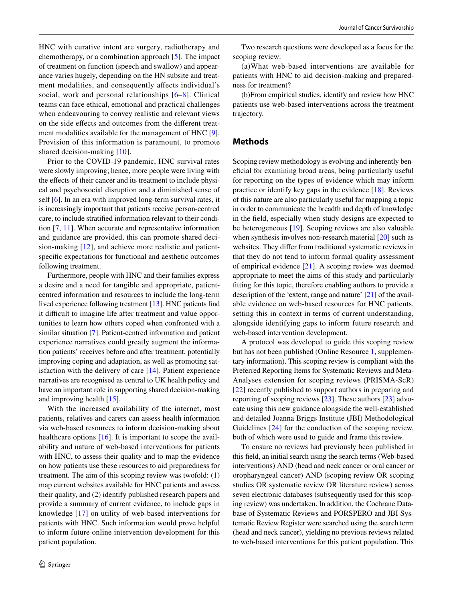HNC with curative intent are surgery, radiotherapy and chemotherapy, or a combination approach [\[5](#page-15-4)]. The impact of treatment on function (speech and swallow) and appearance varies hugely, depending on the HN subsite and treatment modalities, and consequently affects individual's social, work and personal relationships [[6](#page-15-5)–[8](#page-15-6)]. Clinical teams can face ethical, emotional and practical challenges when endeavouring to convey realistic and relevant views on the side efects and outcomes from the diferent treat-ment modalities available for the management of HNC [\[9](#page-15-7)]. Provision of this information is paramount, to promote shared decision-making [\[10\]](#page-15-8).

Prior to the COVID-19 pandemic, HNC survival rates were slowly improving; hence, more people were living with the efects of their cancer and its treatment to include physical and psychosocial disruption and a diminished sense of self [\[6](#page-15-5)]. In an era with improved long-term survival rates, it is increasingly important that patients receive person-centred care, to include stratifed information relevant to their condition [[7,](#page-15-9) [11](#page-15-10)]. When accurate and representative information and guidance are provided, this can promote shared decision-making [[12](#page-15-11)], and achieve more realistic and patientspecifc expectations for functional and aesthetic outcomes following treatment.

Furthermore, people with HNC and their families express a desire and a need for tangible and appropriate, patientcentred information and resources to include the long-term lived experience following treatment [\[13](#page-15-12)]. HNC patients fnd it difficult to imagine life after treatment and value opportunities to learn how others coped when confronted with a similar situation [[7\]](#page-15-9). Patient-centred information and patient experience narratives could greatly augment the information patients' receives before and after treatment, potentially improving coping and adaptation, as well as promoting satisfaction with the delivery of care [\[14](#page-15-13)]. Patient experience narratives are recognised as central to UK health policy and have an important role in supporting shared decision-making and improving health [[15\]](#page-15-14).

With the increased availability of the internet, most patients, relatives and carers can assess health information via web-based resources to inform decision-making about healthcare options  $[16]$  $[16]$ . It is important to scope the availability and nature of web-based interventions for patients with HNC, to assess their quality and to map the evidence on how patients use these resources to aid preparedness for treatment. The aim of this scoping review was twofold: (1) map current websites available for HNC patients and assess their quality, and (2) identify published research papers and provide a summary of current evidence, to include gaps in knowledge [\[17\]](#page-15-16) on utility of web-based interventions for patients with HNC. Such information would prove helpful to inform future online intervention development for this patient population.

Two research questions were developed as a focus for the scoping review:

(a)What web-based interventions are available for patients with HNC to aid decision-making and preparedness for treatment?

(b)From empirical studies, identify and review how HNC patients use web-based interventions across the treatment trajectory.

### **Methods**

Scoping review methodology is evolving and inherently benefcial for examining broad areas, being particularly useful for reporting on the types of evidence which may inform practice or identify key gaps in the evidence [[18\]](#page-15-17). Reviews of this nature are also particularly useful for mapping a topic in order to communicate the breadth and depth of knowledge in the feld, especially when study designs are expected to be heterogeneous [\[19\]](#page-15-18). Scoping reviews are also valuable when synthesis involves non-research material [\[20](#page-15-19)] such as websites. They difer from traditional systematic reviews in that they do not tend to inform formal quality assessment of empirical evidence [[21](#page-16-0)]. A scoping review was deemed appropriate to meet the aims of this study and particularly ftting for this topic, therefore enabling authors to provide a description of the 'extent, range and nature' [\[21](#page-16-0)] of the available evidence on web-based resources for HNC patients, setting this in context in terms of current understanding, alongside identifying gaps to inform future research and web-based intervention development.

A protocol was developed to guide this scoping review but has not been published (Online Resource 1, supplementary information). This scoping review is compliant with the Preferred Reporting Items for Systematic Reviews and Meta-Analyses extension for scoping reviews (PRISMA-ScR) [[22\]](#page-16-1) recently published to support authors in preparing and reporting of scoping reviews [\[23](#page-16-2)]. These authors [\[23](#page-16-2)] advocate using this new guidance alongside the well-established and detailed Joanna Briggs Institute (JBI) Methodological Guidelines [\[24](#page-16-3)] for the conduction of the scoping review, both of which were used to guide and frame this review.

To ensure no reviews had previously been published in this feld, an initial search using the search terms (Web-based interventions) AND (head and neck cancer or oral cancer or oropharyngeal cancer) AND (scoping review OR scoping studies OR systematic review OR literature review) across seven electronic databases (subsequently used for this scoping review) was undertaken. In addition, the Cochrane Database of Systematic Reviews and PORSPERO and JBI Systematic Review Register were searched using the search term (head and neck cancer), yielding no previous reviews related to web-based interventions for this patient population. This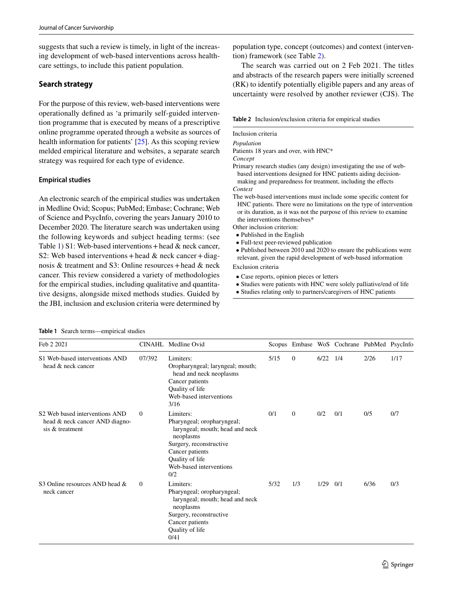suggests that such a review is timely, in light of the increasing development of web-based interventions across healthcare settings, to include this patient population.

### **Search strategy**

For the purpose of this review, web-based interventions were operationally defned as 'a primarily self-guided intervention programme that is executed by means of a prescriptive online programme operated through a website as sources of health information for patients' [[25\]](#page-16-4). As this scoping review melded empirical literature and websites, a separate search strategy was required for each type of evidence.

### **Empirical studies**

An electronic search of the empirical studies was undertaken in Medline Ovid; Scopus; PubMed; Embase; Cochrane; Web of Science and PsycInfo, covering the years January 2010 to December 2020. The literature search was undertaken using the following keywords and subject heading terms: (see Table [1\)](#page-2-0) S1: Web-based interventions + head  $\&$  neck cancer, S2: Web based interventions + head  $\&$  neck cancer + diagnosis & treatment and S3: Online resources + head & neck cancer. This review considered a variety of methodologies for the empirical studies, including qualitative and quantitative designs, alongside mixed methods studies. Guided by the JBI, inclusion and exclusion criteria were determined by population type, concept (outcomes) and context (intervention) framework (see Table [2\)](#page-2-1).

The search was carried out on 2 Feb 2021. The titles and abstracts of the research papers were initially screened (RK) to identify potentially eligible papers and any areas of uncertainty were resolved by another reviewer (CJS). The

<span id="page-2-1"></span>**Table 2** Inclusion/exclusion criteria for empirical studies

# Inclusion criteria

*Population*

Patients 18 years and over, with HNC\*

*Concept*

Primary research studies (any design) investigating the use of webbased interventions designed for HNC patients aiding decisionmaking and preparedness for treatment, including the efects

*Context*

The web-based interventions must include some specifc content for HNC patients. There were no limitations on the type of intervention or its duration, as it was not the purpose of this review to examine the interventions themselves\*

Other inclusion criterion:

- Published in the English
- Full-text peer-reviewed publication
- Published between 2010 and 2020 to ensure the publications were relevant, given the rapid development of web-based information

Exclusion criteria

- Case reports, opinion pieces or letters
- Studies were patients with HNC were solely palliative/end of life
- Studies relating only to partners/caregivers of HNC patients

<span id="page-2-0"></span>**Table 1** Search terms—empirical studies

| Feb 2 2021                                                                                        |                | CINAHL Medline Ovid                                                                                                                                                                        |      |          |            | Scopus Embase WoS Cochrane PubMed PsycInfc |      |      |
|---------------------------------------------------------------------------------------------------|----------------|--------------------------------------------------------------------------------------------------------------------------------------------------------------------------------------------|------|----------|------------|--------------------------------------------|------|------|
| S1 Web-based interventions AND<br>head & neck cancer                                              | 07/392         | Limiters:<br>Oropharyngeal; laryngeal; mouth;<br>head and neck neoplasms<br>Cancer patients<br>Quality of life<br>Web-based interventions<br>3/16                                          | 5/15 | $\Omega$ | $6/22$ 1/4 |                                            | 2/26 | 1/17 |
| S <sub>2</sub> Web based interventions AND<br>head & neck cancer AND diagno-<br>sis $&$ treatment | $\mathbf{0}$   | Limiters:<br>Pharyngeal; oropharyngeal;<br>laryngeal; mouth; head and neck<br>neoplasms<br>Surgery, reconstructive<br>Cancer patients<br>Quality of life<br>Web-based interventions<br>0/2 | 0/1  | $\Omega$ | 0/2        | 0/1                                        | 0/5  | 0/7  |
| S3 Online resources AND head $\&$<br>neck cancer                                                  | $\overline{0}$ | Limiters:<br>Pharyngeal; oropharyngeal;<br>laryngeal; mouth; head and neck<br>neoplasms<br>Surgery, reconstructive<br>Cancer patients<br>Quality of life<br>0/41                           | 5/32 | 1/3      | 1/29       | 0/1                                        | 6/36 | 0/3  |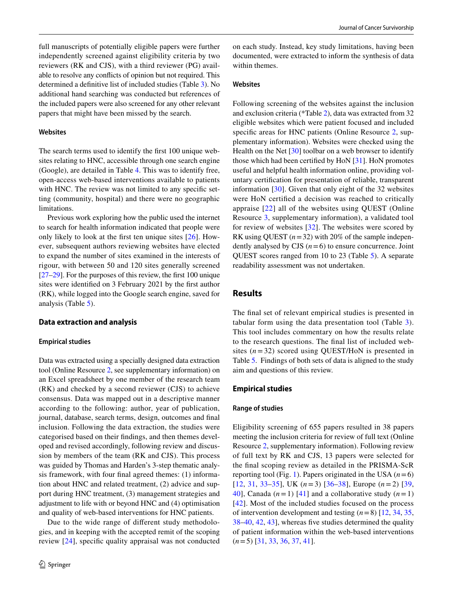full manuscripts of potentially eligible papers were further independently screened against eligibility criteria by two reviewers (RK and CJS), with a third reviewer (PG) available to resolve any conficts of opinion but not required. This determined a defnitive list of included studies (Table [3\)](#page-4-0). No additional hand searching was conducted but references of the included papers were also screened for any other relevant papers that might have been missed by the search.

#### **Websites**

The search terms used to identify the frst 100 unique websites relating to HNC, accessible through one search engine (Google), are detailed in Table [4.](#page-6-0) This was to identify free, open-access web-based interventions available to patients with HNC. The review was not limited to any specific setting (community, hospital) and there were no geographic limitations.

Previous work exploring how the public used the internet to search for health information indicated that people were only likely to look at the frst ten unique sites [[26](#page-16-5)]. However, subsequent authors reviewing websites have elected to expand the number of sites examined in the interests of rigour, with between 50 and 120 sites generally screened [\[27](#page-16-6)[–29](#page-16-7)]. For the purposes of this review, the frst 100 unique sites were identifed on 3 February 2021 by the frst author (RK), while logged into the Google search engine, saved for analysis (Table [5](#page-7-0)).

#### **Data extraction and analysis**

#### **Empirical studies**

Data was extracted using a specially designed data extraction tool (Online Resource 2, see supplementary information) on an Excel spreadsheet by one member of the research team (RK) and checked by a second reviewer (CJS) to achieve consensus. Data was mapped out in a descriptive manner according to the following: author, year of publication, journal, database, search terms, design, outcomes and fnal inclusion. Following the data extraction, the studies were categorised based on their fndings, and then themes developed and revised accordingly, following review and discussion by members of the team (RK and CJS). This process was guided by Thomas and Harden's 3-step thematic analysis framework, with four fnal agreed themes: (1) information about HNC and related treatment, (2) advice and support during HNC treatment, (3) management strategies and adjustment to life with or beyond HNC and (4) optimisation and quality of web-based interventions for HNC patients.

Due to the wide range of diferent study methodologies, and in keeping with the accepted remit of the scoping review [\[24\]](#page-16-3), specifc quality appraisal was not conducted on each study. Instead, key study limitations, having been documented, were extracted to inform the synthesis of data within themes.

#### **Websites**

Following screening of the websites against the inclusion and exclusion criteria (\*Table [2\)](#page-2-1), data was extracted from 32 eligible websites which were patient focused and included specific areas for HNC patients (Online Resource 2, supplementary information). Websites were checked using the Health on the Net [[30](#page-16-8)] toolbar on a web browser to identify those which had been certifed by HoN [\[31](#page-16-9)]. HoN promotes useful and helpful health information online, providing voluntary certifcation for presentation of reliable, transparent information [[30\]](#page-16-8). Given that only eight of the 32 websites were HoN certifed a decision was reached to critically appraise [\[22\]](#page-16-1) all of the websites using QUEST (Online Resource 3, supplementary information), a validated tool for review of websites [[32](#page-16-10)]. The websites were scored by RK using QUEST  $(n=32)$  with 20% of the sample independently analysed by CJS  $(n=6)$  to ensure concurrence. Joint QUEST scores ranged from 10 to 23 (Table [5](#page-7-0)). A separate readability assessment was not undertaken.

### **Results**

The fnal set of relevant empirical studies is presented in tabular form using the data presentation tool (Table [3](#page-4-0)). This tool includes commentary on how the results relate to the research questions. The fnal list of included websites (*n*=32) scored using QUEST/HoN is presented in Table [5.](#page-7-0) Findings of both sets of data is aligned to the study aim and questions of this review.

#### **Empirical studies**

#### **Range of studies**

Eligibility screening of 655 papers resulted in 38 papers meeting the inclusion criteria for review of full text (Online Resource 2, supplementary information). Following review of full text by RK and CJS, 13 papers were selected for the fnal scoping review as detailed in the PRISMA-ScR reporting tool (Fig. [1](#page-10-0)). Papers originated in the USA  $(n=6)$ [[12](#page-15-11), [31](#page-16-9), [33](#page-16-11)–[35\]](#page-16-12), UK (*n*=3) [\[36–](#page-16-13)[38](#page-16-14)], Europe (*n*=2) [\[39,](#page-16-15) [40](#page-16-16)], Canada  $(n=1)$  [[41](#page-16-17)] and a collaborative study  $(n=1)$ [[42\]](#page-16-18). Most of the included studies focused on the process of intervention development and testing (*n*=8) [\[12](#page-15-11), [34,](#page-16-19) [35,](#page-16-12) [38](#page-16-14)[–40](#page-16-16), [42](#page-16-18), [43\]](#page-16-20), whereas fve studies determined the quality of patient information within the web-based interventions (*n*=5) [\[31](#page-16-9), [33](#page-16-11), [36,](#page-16-13) [37,](#page-16-21) [41\]](#page-16-17).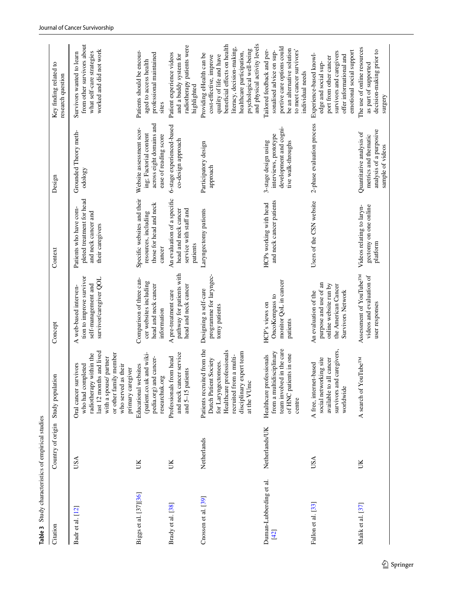| Citation                        | Country of origin Study population |                                                                                                                                                                                                   | Concept                                                                                                                   | Context                                                                                        | Design                                                                                                  | Key finding related to<br>research question                                                                                                                                                                                            |
|---------------------------------|------------------------------------|---------------------------------------------------------------------------------------------------------------------------------------------------------------------------------------------------|---------------------------------------------------------------------------------------------------------------------------|------------------------------------------------------------------------------------------------|---------------------------------------------------------------------------------------------------------|----------------------------------------------------------------------------------------------------------------------------------------------------------------------------------------------------------------------------------------|
| Badr et al. [12]                | USA                                | last 12 months and lived<br>or other family member<br>radiotherapy within the<br>with a spouse/ partner<br>Oral cancer survivors<br>who had completed<br>who served as their<br>primary caregiver | tion to improve survivor<br>survivor/caregiver QOL<br>self-management and<br>A web-based interven-                        | pleted treatment for head<br>Patients who have com-<br>and neck cancer and<br>their caregivers | Grounded Theory meth-<br>odology                                                                        | from other survivors about<br>worked and did not work<br>what self-care strategies<br>Survivors wanted to learn                                                                                                                        |
| Biggs et al. [37][36]           | UК                                 | (patient.co.uk and wiki-<br>pedia.org) and cancer-<br>Educational websites<br>researchuk.org                                                                                                      | Comparison of three can-<br>cer websites including<br>head and neck cancer<br>information                                 | Specific websites and their<br>those for head and neck<br>resources, including<br>cancer       | across eight domains and<br>Website assessment scor-<br>ing; Factorial content<br>ease of reading score | Patients should be encour-<br>professional maintained<br>aged to access health<br>sites                                                                                                                                                |
| Brady et al. [38]               | UK                                 | and neck cancer service<br>Professionals from head<br>and 5-15 patients                                                                                                                           | pathway for patients with<br>head and neck cancer<br>A pre-treatment care                                                 | An evaluation of a specific<br>head and neck cancer<br>service with staff and<br>patients      | 6-stage experienced-based<br>co-design approach                                                         | radiotherapy patients were<br>Patient experience videos<br>and a buddy system for<br>highlighted                                                                                                                                       |
| Cnossen et al. [39]             | Netherlands                        | Patients recruited from the<br>Healthcare professionals<br>disciplinary expert team<br>recruited from a multi-<br>Dutch Patient Society<br>for Laryngectomees.<br>at the VUmc                     | programme for laryngec-<br>Designing a self-care<br>tomy patients                                                         | Laryngectomy patients                                                                          | Participatory design<br>approach                                                                        | and physical activity levels<br>beneficial effects on health<br>literacy, decision-making,<br>psychological well-being<br>healthcare participation,<br>Providing eHealth can be<br>quality of life and have<br>cost-effective, improve |
| Duman-Lubberding et al.<br>[42] | Netherlands/UK                     | team involved in the care<br>from a multidisciplinary<br>of HNC patients in one<br>Healthcare professionals<br>centre                                                                             | monitor QoL in cancer<br>OncoKompass to<br>HCP's views on<br>patients                                                     | and neck cancer patients<br>HCPs working with head                                             | development and cogni-<br>interviews, prototype<br>3-stage design using<br>tive walk-throughs           | portive care options could<br>be an alternative solution<br>to meet cancer survivors'<br>Tailored feedback and per-<br>sonalised advice on sup-<br>individual needs                                                                    |
| Fallon et al. [33]              | USA                                | survivors and caregivers,<br>social networking site<br>available to all cancer<br>A free, internet-based<br>worldwide                                                                             | purpose and use of an<br>online website run by<br>the American Cancer<br><b>Survivors Network</b><br>An evaluation of the | Users of the CSN website                                                                       | 2-phase evaluation process                                                                              | emotional social support<br>survivors and caregivers<br>Experience-based knowl-<br>offer informational and<br>port from other cancer<br>edge and social sup-                                                                           |
| Malik et al. [37]               | UK                                 | A search of YouTube <sup>TM</sup>                                                                                                                                                                 | Assessment of YouTube <sup>TM</sup><br>videos and evaluation of<br>user responses                                         | Videos relating to laryn-<br>gectomy on one online<br>platform                                 | analysis of a purposive<br>Quantitative analysis of<br>metrics and thematic<br>sample of videos         | The use of online resources<br>decision-making prior to<br>as part of supported<br>surgery                                                                                                                                             |

<span id="page-4-0"></span>**Table 3** Study characteristics of empirical studies

Table 3 Study characteristics of empirical studies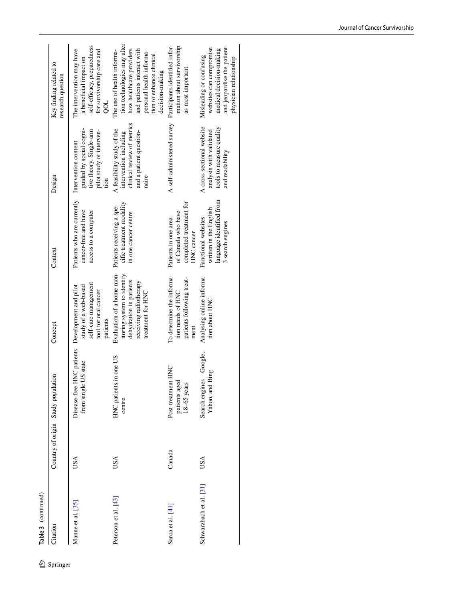Table 3 (continued)

| ഉ        | Table 3 (continued)     |                                    |                                                                         |                                                                                                                                                             |                                                                                               |                                                                                                                        |                                                                                                                                                                                                |
|----------|-------------------------|------------------------------------|-------------------------------------------------------------------------|-------------------------------------------------------------------------------------------------------------------------------------------------------------|-----------------------------------------------------------------------------------------------|------------------------------------------------------------------------------------------------------------------------|------------------------------------------------------------------------------------------------------------------------------------------------------------------------------------------------|
| Springer | Citation                | Country of origin Study population |                                                                         | Concept                                                                                                                                                     | Context                                                                                       | Design                                                                                                                 | Key finding related to<br>research question                                                                                                                                                    |
|          | Manne et al. [35]       | USA                                | Disease-free HNC patients Development and pilot<br>from single US state | self-care management<br>study of a web-based<br>tool for oral cancer<br>patients                                                                            | Patients who are currently<br>cancer-free and have<br>access to a computer                    | guided by social cogni-<br>tive theory. Single-arm<br>pilot study of interven-<br>Intervention content<br>tion         | self-efficacy, preparedness<br>for survivorship care and<br>The intervention may have<br>a beneficial impact on<br>gor                                                                         |
|          | Peterson et al. [43]    | USA                                | HNC patients in one US<br>centre                                        | Evaluation of a home mon- Patients receiving a spe-<br>itoring system to identify<br>dehydration in patients<br>receiving radiotherapy<br>treatment for HNC | cific treatment modality<br>in one cancer centre                                              | clinical review of metrics<br>A feasibility study of the<br>and a patient question-<br>intervention including<br>naire | tion technologies may alter<br>how healthcare providers<br>and patients interact with<br>The use of health informa-<br>personal health informa-<br>tion to enhance clinical<br>decision-making |
|          | Saroa et al. [41]       | Canada                             | Post-treatment HNC<br>patients aged<br>$18-65$ years                    | To determine the informa-<br>patients following treat-<br>tion needs of HNC<br>ment                                                                         | completed treatment for<br>of Canada who have<br>Patients in one area<br>HNC cancer           | A self-administered survey Participants identified infor-                                                              | mation about survivorship<br>as most important                                                                                                                                                 |
|          | Schwarzbach et al. [31] | USA                                | Search engines-Google,<br>Yahoo, and Bing                               | Analysing online informa-<br>tion about HNC                                                                                                                 | language identified from<br>written in the English<br>Functional websites<br>3 search engines | A cross-sectional website<br>tools to measure quality<br>analysis with validated<br>and readability                    | and jeopardise the patient-<br>websites can compromise<br>medical decision-making<br>Misleading or confusing<br>physician relationship                                                         |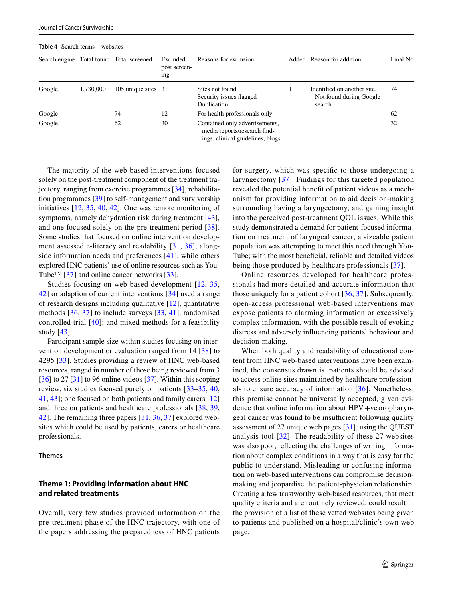|        |           | Search engine Total found Total screened | Excluded<br>post screen-<br>1ng | Reasons for exclusion                                                                              | Added | Reason for addition                                              | Final No |
|--------|-----------|------------------------------------------|---------------------------------|----------------------------------------------------------------------------------------------------|-------|------------------------------------------------------------------|----------|
| Google | 1,730,000 | 105 unique sites 31                      |                                 | Sites not found<br>Security issues flagged<br>Duplication                                          |       | Identified on another site.<br>Not found during Google<br>search | 74       |
| Google |           | 74                                       | 12                              | For health professionals only                                                                      |       |                                                                  | 62       |
| Google |           | 62                                       | 30                              | Contained only advertisements,<br>media reports/research find-<br>ings, clinical guidelines, blogs |       |                                                                  | 32       |

<span id="page-6-0"></span>**Table 4** Search terms—websites

The majority of the web-based interventions focused solely on the post-treatment component of the treatment trajectory, ranging from exercise programmes [\[34](#page-16-19)], rehabilitation programmes [[39\]](#page-16-15) to self-management and survivorship initiatives [\[12,](#page-15-11) [35](#page-16-12), [40,](#page-16-16) [42](#page-16-18)]. One was remote monitoring of symptoms, namely dehydration risk during treatment [\[43](#page-16-20)], and one focused solely on the pre-treatment period [[38](#page-16-14)]. Some studies that focused on online intervention development assessed e-literacy and readability [\[31,](#page-16-9) [36](#page-16-13)], alongside information needs and preferences [[41](#page-16-17)], while others explored HNC patients' use of online resources such as You-Tube<sup>™</sup> [[37](#page-16-21)] and online cancer networks [[33](#page-16-11)].

Studies focusing on web-based development [\[12,](#page-15-11) [35,](#page-16-12) [42](#page-16-18)] or adaption of current interventions [[34](#page-16-19)] used a range of research designs including qualitative [\[12\]](#page-15-11), quantitative methods [\[36](#page-16-13), [37](#page-16-21)] to include surveys [\[33,](#page-16-11) [41](#page-16-17)], randomised controlled trial [[40](#page-16-16)]; and mixed methods for a feasibility study [[43\]](#page-16-20).

Participant sample size within studies focusing on intervention development or evaluation ranged from 14 [[38](#page-16-14)] to 4295 [[33\]](#page-16-11). Studies providing a review of HNC web-based resources, ranged in number of those being reviewed from 3  $[36]$  $[36]$  to 27 [[31\]](#page-16-9) to 96 online videos [[37\]](#page-16-21). Within this scoping review, six studies focused purely on patients [\[33](#page-16-11)–[35,](#page-16-12) [40,](#page-16-16) [41](#page-16-17), [43](#page-16-20)]; one focused on both patients and family carers [[12\]](#page-15-11) and three on patients and healthcare professionals [[38,](#page-16-14) [39,](#page-16-15) [42](#page-16-18)]. The remaining three papers [[31,](#page-16-9) [36,](#page-16-13) [37\]](#page-16-21) explored websites which could be used by patients, carers or healthcare professionals.

#### **Themes**

### **Theme 1: Providing information about HNC and related treatments**

Overall, very few studies provided information on the pre-treatment phase of the HNC trajectory, with one of the papers addressing the preparedness of HNC patients for surgery, which was specifc to those undergoing a laryngectomy [[37\]](#page-16-21). Findings for this targeted population revealed the potential beneft of patient videos as a mechanism for providing information to aid decision-making surrounding having a laryngectomy, and gaining insight into the perceived post-treatment QOL issues. While this study demonstrated a demand for patient-focused information on treatment of laryngeal cancer, a sizeable patient population was attempting to meet this need through You-Tube; with the most beneficial, reliable and detailed videos being those produced by healthcare professionals [[37](#page-16-21)].

Online resources developed for healthcare professionals had more detailed and accurate information that those uniquely for a patient cohort [[36](#page-16-13), [37\]](#page-16-21). Subsequently, open-access professional web-based interventions may expose patients to alarming information or excessively complex information, with the possible result of evoking distress and adversely infuencing patients' behaviour and decision-making.

When both quality and readability of educational content from HNC web-based interventions have been examined, the consensus drawn is patients should be advised to access online sites maintained by healthcare professionals to ensure accuracy of information [[36](#page-16-13)]. Nonetheless, this premise cannot be universally accepted, given evidence that online information about HPV +ve oropharyngeal cancer was found to be insufficient following quality assessment of 27 unique web pages [\[31](#page-16-9)], using the QUEST analysis tool [[32\]](#page-16-10). The readability of these 27 websites was also poor, refecting the challenges of writing information about complex conditions in a way that is easy for the public to understand. Misleading or confusing information on web-based interventions can compromise decisionmaking and jeopardise the patient-physician relationship. Creating a few trustworthy web-based resources, that meet quality criteria and are routinely reviewed, could result in the provision of a list of these vetted websites being given to patients and published on a hospital/clinic's own web page.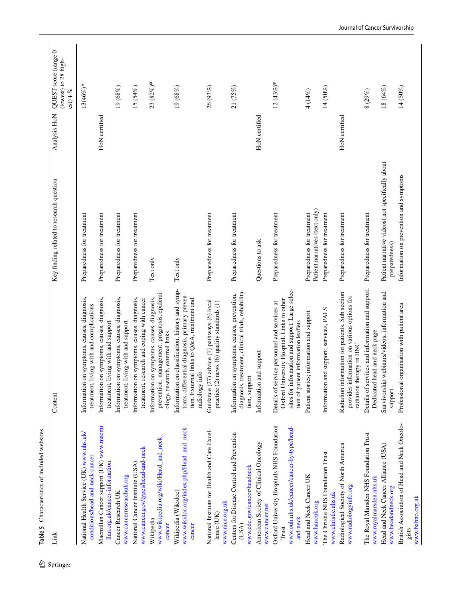<span id="page-7-0"></span>

|                                                                                                               | Content                                                                                                                                                                               | Key finding related to research question                         | Analysis HoN  | QUEST score (range 0<br>(lowest) to 28 high-<br>$est) + \%$ |
|---------------------------------------------------------------------------------------------------------------|---------------------------------------------------------------------------------------------------------------------------------------------------------------------------------------|------------------------------------------------------------------|---------------|-------------------------------------------------------------|
| National Health Service (UK) www.nhs.uk/<br>conditions/head-and-neck-cancer                                   | Information on symptoms, causes, diagnosis,<br>treatment, living with and complications                                                                                               | Preparedness for treatment                                       |               | 13(46%)*                                                    |
| Macmillan Cancer support (UK) www.macmi<br>llan.org.uk/cancer-information                                     | Information on symptoms, causes, diagnosis,<br>iving with and support<br>treatment,                                                                                                   | Preparedness for treatment                                       | HoN certified |                                                             |
| www.cancerresearchuk.org<br>Cancer Research UK                                                                | Information on symptoms, causes, diagnosis,<br>iving with and support<br>treatment,                                                                                                   | Preparedness for treatment                                       |               | 19 (68%)                                                    |
| www.cancer.gov/types/head-and-neck<br>National Cancer Institute (USA)                                         | on symptoms, causes, diagnosis,<br>treatment, research and coping with cancer<br>Information                                                                                          | Preparedness for treatment                                       |               | 15(54%)                                                     |
| www.wikipedia.org/wiki/Head_and_neck_<br>Wikipedia<br>cancer                                                  | prevention, management, prognosis, epidemi-<br>Information on symptoms, causes, diagnosis,<br>ology, research, external links                                                         | Text only                                                        |               | 23 (82%)*                                                   |
| www.wikidoc.org/index.php/Head_and_neck_<br>Wikipedia (Wikidoc)<br>cancer                                     | Information on classification, history and symp-<br>toms, differential diagnosis, primary preven-<br>tion. External links to Q&A, treatment and<br>radiology info                     | Text only                                                        |               | 19(68%)                                                     |
| National Institute for Health and Care Excel-<br>www.nice.org.uk<br>lence (UK)                                | Guidance (27) advice (1) pathways (6) local<br>practice (2) news (6) quality standards (1)                                                                                            | Preparedness for treatment                                       |               | 26 (93%)                                                    |
| Centers for Disease Control and Prevention<br>www.cdc.gov/cancer/headneck<br>(USA)                            | diagnosis, treatment, clinical trials, rehabilita-<br>Information on symptoms, causes, prevention,<br>tion, support                                                                   | Preparedness for treatment                                       |               | 21 (75%)                                                    |
| American Society of Clinical Oncology<br>www.cancer.net                                                       | Information and support                                                                                                                                                               | Questions to ask                                                 | HoN certified |                                                             |
| Oxford University Hospitals NHS Foundation<br>www.ouh.nhs.uk/cancer/cancer-by-type/head-<br>and-neck<br>Trust | sites for information and support. Large selec-<br>Oxford University Hospital. Links to other<br>Details of service personnel and services at<br>tion of patient information leaflets | Preparedness for treatment                                       |               | $12(43\%)*$                                                 |
| Head and Neck Cancer UK<br>www.hancuk.org                                                                     | Patient stories; information and support                                                                                                                                              | Patient narratives (text only)<br>Preparedness for treatment     |               | 4 (14%)                                                     |
| The Christie NHS Foundation Trust<br>www.christie.nhs.uk                                                      | Information and support; services, PALS                                                                                                                                               | Preparedness for treatment                                       |               | 14 (50%)                                                    |
| Radiological Society of North America<br>www.radiologyinfo.org                                                | Radiation information for patients. Sub section<br>provides information on various options for<br>radiation therapy in HNC                                                            | Preparedness for treatment                                       | HoN certified |                                                             |
| The Royal Marsden NHS Foundation Trust<br>www.royalmarsden.nhs.uk                                             | Details of services and information and support.<br>Dedicated head and neck page                                                                                                      | Preparedness for treatment                                       |               | 8(29%)                                                      |
| Head and Neck Cancer Alliance (USA)<br>www.headandneck.org                                                    | Survivorship webinars/videos; information and<br>support                                                                                                                              | Patient narrative videos(not specifically about<br>preparedness) |               | 18 (64%)                                                    |
| British Association of Head and Neck Oncolo-<br>www.bahno.org.uk<br>gists                                     | organisation with patient area<br>Professional                                                                                                                                        | Information on prevention and symptoms                           |               | 14 (50%)                                                    |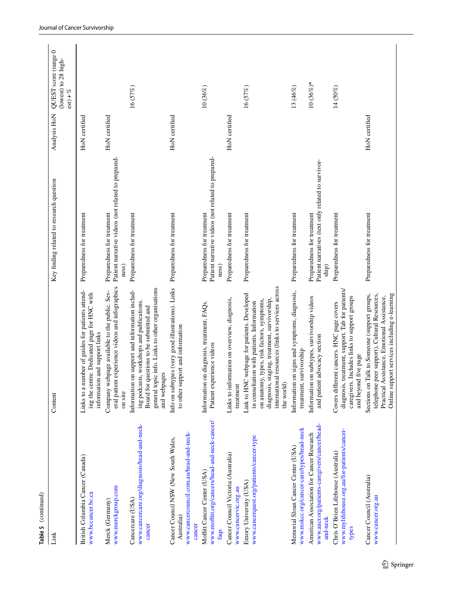| Link                                                                                                    | Content                                                                                                                                                                                                                                                    | Key finding related to research question                                                    | Analysis HoN  | QUEST score (range 0<br>(lowest) to 28 high-<br>$est) + \%$ |
|---------------------------------------------------------------------------------------------------------|------------------------------------------------------------------------------------------------------------------------------------------------------------------------------------------------------------------------------------------------------------|---------------------------------------------------------------------------------------------|---------------|-------------------------------------------------------------|
| British Columbia Cancer (Canada)<br>www.bccancer.bc.ca                                                  | Links to a number of guides for patients attend-<br>ing the centre. Dedicated page for HNC with<br>information and support links                                                                                                                           | Preparedness for treatment                                                                  | HoN certified |                                                             |
| www.merckgroup.com<br>Merck (Germany)                                                                   | eral patient experience videos and infographics<br>Company webpage available to the public. Sev-<br>on site                                                                                                                                                | Patient narrative videos (not related to prepared-<br>Preparedness for treatment<br>ness)   | HoN certified |                                                             |
| www.cancercare.org/diagnosis/head-and-neck-<br>Cancercare (USA)<br>cancer                               | general topic info. Links to other organisations<br>Information on support and information includ-<br>ing podcasts, workshops and publications.<br>Board for questions to be submitted and<br>and webpages                                                 | Preparedness for treatment                                                                  |               | 16 (57%)                                                    |
| www.cancercouncil.com.au/head-and-neck-<br>Cancer Council NSW (New South Wales,<br>Australia)<br>cancer | Info on subtypes (very good illustrations). Links Preparedness for treatment<br>to other support and information                                                                                                                                           |                                                                                             | HoN certified |                                                             |
| www.moffitt.org/cancers/head-and-neck-cancer/<br>Moffitt Cancer Center (USA)<br>faqs                    | on diagnosis, treatment, FAQs.<br>Patient experience videos<br>Information                                                                                                                                                                                 | Patient narrative videos (not related to prepared-<br>Preparedness for treatment<br>ness)   |               | 10(36%)                                                     |
| Cancer Council Victoria (Australia)<br>www.cancervic.org.au                                             | Links to information on overview, diagnosis,<br>treatment                                                                                                                                                                                                  | Preparedness for treatment                                                                  | HoN certified |                                                             |
| www.cancerquest.org/patients/cancer-type<br>Emory University (USA)                                      | international resources (links to services across<br>Link to HNC webpage for patients. Developed<br>diagnosis, staging, treatment, survivorship,<br>on anatomy, types, risk factors, symptoms,<br>in consultation with patients. Information<br>the world) | Preparedness for treatment                                                                  |               | 16 (57%)                                                    |
| www.mskcc.org/cancer-care/types/head-neck<br>Memorial Sloan Cancer Center (USA)                         | on signs and symptoms, diagnosis,<br>survivorship<br>Information<br>treatment,                                                                                                                                                                             | Preparedness for treatment                                                                  |               | 13 (46%)                                                    |
| www.aacr.org/patients-caregivers/cancer/head-<br>American Association for Cancer Research<br>and-neck   | Information on subtypes, survivorship videos<br>and patient advocacy section                                                                                                                                                                               | Patient narratives (text only related to survivor-<br>Preparedness for treatment<br>$\sinh$ |               | $10(36\%)*$                                                 |
| www.mylifehouse.org.au/for-patients/cancer-<br>Chris O'Brien Lifehouse (Australia)<br>types             | diagnosis, treatment, support. Tab for patients/<br>caregivers. Includes links to support groups<br>Covers different cancers. HNC page covers<br>and beyond five page                                                                                      | Preparedness for treatment                                                                  |               | 14 (50%)                                                    |
| Cancer Council (Australia)<br>www.cancer.org.au                                                         | Online support services including e-learning<br>Talk to Someone (support groups,<br>peer support), Cultural Resources,<br>Practical Assistance, Emotional Assistance,<br>Sections on<br>telephone                                                          | Preparedness for treatment                                                                  | HoN certified |                                                             |

**Table 5** (continued)

Table 5 (continued)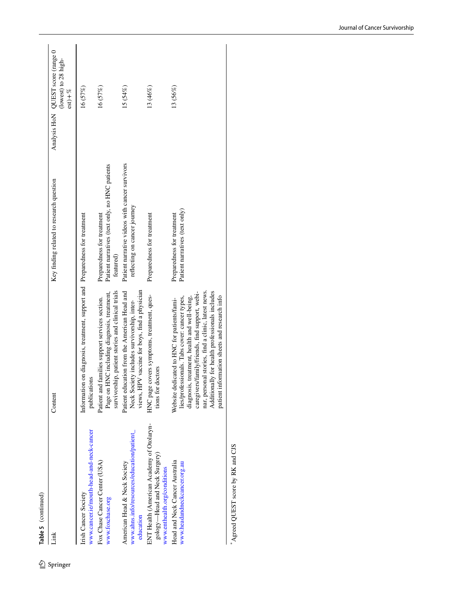| Link                                                                                                       | Content                                                                                                                                                                                                                                                                                                                                                | Key finding related to research question                                                  | Analysis HoN QUEST score (range 0<br>(lowest) to 28 high-<br>$est) + \%$ |
|------------------------------------------------------------------------------------------------------------|--------------------------------------------------------------------------------------------------------------------------------------------------------------------------------------------------------------------------------------------------------------------------------------------------------------------------------------------------------|-------------------------------------------------------------------------------------------|--------------------------------------------------------------------------|
| www.cancer.ie/mouth-head-and-neck-cancer<br>Irish Cancer Society                                           | Information on diagnosis, treatment, support and Preparedness for treatment<br>publications                                                                                                                                                                                                                                                            |                                                                                           | 16 (57%)                                                                 |
| Fox Chase Cancer Center (USA)<br>www.foxchase.org                                                          | survivorship, patient stories and clinical trials<br>Page on HNC including diagnosis, treatment,<br>Patient and families support services section.                                                                                                                                                                                                     | Patient narratives (text only, no HNC patients<br>Preparedness for treatment<br>featured) | 16(57%)                                                                  |
| www.ahns.info/resources/education/patient_<br>American Head & Neck Society<br>education                    | views, HPV vaccine for boys, find a physician<br>Patient education from the American Head and<br>Neck Society includes survivorship, inter-                                                                                                                                                                                                            | Patient narrative videos with cancer survivors<br>reflecting on cancer journey            | $15(54\%)$                                                               |
| ENT Health (American Academy of Otolaryn-<br>gology—Head and Neck Surgery)<br>www.enthealth.org/conditions | HNC page covers symptoms, treatment, ques-<br>tions for doctors                                                                                                                                                                                                                                                                                        | Preparedness for treatment                                                                | 13 (46%)                                                                 |
| Head and Neck Cancer Australia<br>www.headandneckcancer.org.au                                             | nar, personal stories, find a clinic, latest news.<br>Additionally for health professionals includes<br>caregivers/family/friends, find support, webi-<br>patient information sheets and research info<br>diagnosis, treatment, health and well-being,<br>lies/professionals. Tabs cover: cancer types,<br>Website dedicated to HNC for patients/fami- | Patient narratives (text only)<br>Preparedness for treatment                              | 13 (56%)                                                                 |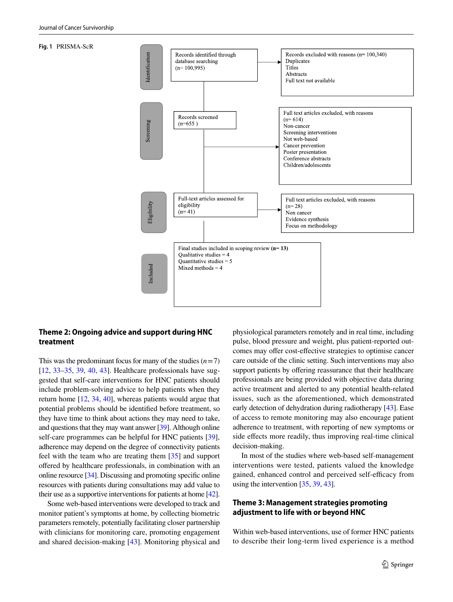#### <span id="page-10-0"></span>**Fig. 1** PRISMA-ScR



### **Theme 2: Ongoing advice and support during HNC treatment**

This was the predominant focus for many of the studies  $(n=7)$ [\[12](#page-15-11), [33–](#page-16-11)[35,](#page-16-12) [39](#page-16-15), [40](#page-16-16), [43\]](#page-16-20). Healthcare professionals have suggested that self-care interventions for HNC patients should include problem-solving advice to help patients when they return home [\[12](#page-15-11), [34](#page-16-19), [40\]](#page-16-16), whereas patients would argue that potential problems should be identifed before treatment, so they have time to think about actions they may need to take, and questions that they may want answer [\[39\]](#page-16-15). Although online self-care programmes can be helpful for HNC patients [\[39](#page-16-15)], adherence may depend on the degree of connectivity patients feel with the team who are treating them [[35\]](#page-16-12) and support ofered by healthcare professionals, in combination with an online resource [[34](#page-16-19)]. Discussing and promoting specifc online resources with patients during consultations may add value to their use as a supportive interventions for patients at home [\[42\]](#page-16-18).

Some web-based interventions were developed to track and monitor patient's symptoms at home, by collecting biometric parameters remotely, potentially facilitating closer partnership with clinicians for monitoring care, promoting engagement and shared decision-making [[43\]](#page-16-20). Monitoring physical and physiological parameters remotely and in real time, including pulse, blood pressure and weight, plus patient-reported outcomes may offer cost-effective strategies to optimise cancer care outside of the clinic setting. Such interventions may also support patients by offering reassurance that their healthcare professionals are being provided with objective data during active treatment and alerted to any potential health-related issues, such as the aforementioned, which demonstrated early detection of dehydration during radiotherapy [[43\]](#page-16-20). Ease of access to remote monitoring may also encourage patient adherence to treatment, with reporting of new symptoms or side effects more readily, thus improving real-time clinical decision-making.

In most of the studies where web-based self-management interventions were tested, patients valued the knowledge gained, enhanced control and perceived self-efficacy from using the intervention [[35,](#page-16-12) [39](#page-16-15), [43\]](#page-16-20).

### **Theme 3: Management strategies promoting adjustment to life with or beyond HNC**

Within web-based interventions, use of former HNC patients to describe their long-term lived experience is a method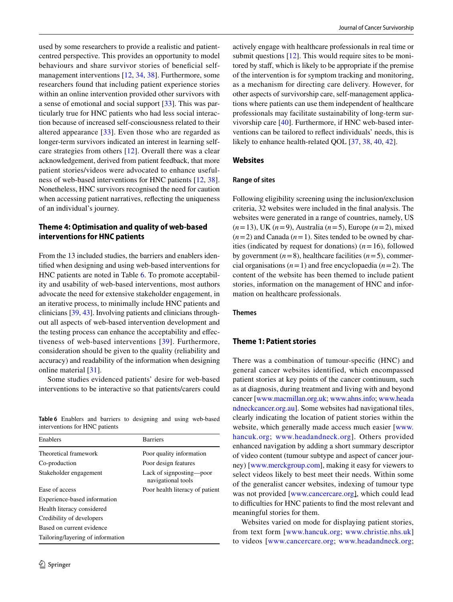used by some researchers to provide a realistic and patientcentred perspective. This provides an opportunity to model behaviours and share survivor stories of beneficial selfmanagement interventions [\[12,](#page-15-11) [34,](#page-16-19) [38\]](#page-16-14). Furthermore, some researchers found that including patient experience stories within an online intervention provided other survivors with a sense of emotional and social support [\[33](#page-16-11)]. This was particularly true for HNC patients who had less social interaction because of increased self-consciousness related to their altered appearance [[33](#page-16-11)]. Even those who are regarded as longer-term survivors indicated an interest in learning selfcare strategies from others [[12](#page-15-11)]. Overall there was a clear acknowledgement, derived from patient feedback, that more patient stories/videos were advocated to enhance usefulness of web-based interventions for HNC patients [[12](#page-15-11), [38](#page-16-14)]. Nonetheless, HNC survivors recognised the need for caution when accessing patient narratives, refecting the uniqueness of an individual's journey.

### **Theme 4: Optimisation and quality of web‑based interventions for HNC patients**

From the 13 included studies, the barriers and enablers identifed when designing and using web-based interventions for HNC patients are noted in Table [6.](#page-11-0) To promote acceptability and usability of web-based interventions, most authors advocate the need for extensive stakeholder engagement, in an iterative process, to minimally include HNC patients and clinicians [\[39,](#page-16-15) [43\]](#page-16-20). Involving patients and clinicians throughout all aspects of web-based intervention development and the testing process can enhance the acceptability and efectiveness of web-based interventions [[39](#page-16-15)]. Furthermore, consideration should be given to the quality (reliability and accuracy) and readability of the information when designing online material [[31](#page-16-9)].

Some studies evidenced patients' desire for web-based interventions to be interactive so that patients/carers could

<span id="page-11-0"></span>**Table 6** Enablers and barriers to designing and using web-based interventions for HNC patients

| Enablers                          | <b>Barriers</b>                                |
|-----------------------------------|------------------------------------------------|
| Theoretical framework             | Poor quality information                       |
| Co-production                     | Poor design features                           |
| Stakeholder engagement            | Lack of signposting—poor<br>navigational tools |
| Ease of access                    | Poor health literacy of patient                |
| Experience-based information      |                                                |
| Health literacy considered        |                                                |
| Credibility of developers         |                                                |
| Based on current evidence         |                                                |
| Tailoring/layering of information |                                                |

actively engage with healthcare professionals in real time or submit questions [[12](#page-15-11)]. This would require sites to be monitored by staf, which is likely to be appropriate if the premise of the intervention is for symptom tracking and monitoring, as a mechanism for directing care delivery. However, for other aspects of survivorship care, self-management applications where patients can use them independent of healthcare professionals may facilitate sustainability of long-term survivorship care [[40\]](#page-16-16). Furthermore, if HNC web-based interventions can be tailored to refect individuals' needs, this is likely to enhance health-related QOL [[37,](#page-16-21) [38,](#page-16-14) [40](#page-16-16), [42](#page-16-18)].

#### **Websites**

#### **Range of sites**

Following eligibility screening using the inclusion/exclusion criteria, 32 websites were included in the fnal analysis. The websites were generated in a range of countries, namely, US (*n*=13), UK (*n*=9), Australia (*n*=5), Europe (*n*=2), mixed  $(n=2)$  and Canada  $(n=1)$ . Sites tended to be owned by charities (indicated by request for donations)  $(n=16)$ , followed by government  $(n=8)$ , healthcare facilities  $(n=5)$ , commercial organisations  $(n=1)$  and free encyclopaedia  $(n=2)$ . The content of the website has been themed to include patient stories, information on the management of HNC and information on healthcare professionals.

#### **Themes**

### **Theme 1: Patient stories**

There was a combination of tumour-specifc (HNC) and general cancer websites identified, which encompassed patient stories at key points of the cancer continuum, such as at diagnosis, during treatment and living with and beyond cancer [\[www.macmillan.org.uk](http://www.macmillan.org.uk); [www.ahns.info](http://www.ahns.info); [www.heada](http://www.headandneckcancer.org.au) [ndneckcancer.org.au\]](http://www.headandneckcancer.org.au). Some websites had navigational tiles, clearly indicating the location of patient stories within the website, which generally made access much easier [\[www.](http://www.hancuk.org) [hancuk.org;](http://www.hancuk.org) [www.headandneck.org\]](http://www.headandneck.org). Others provided enhanced navigation by adding a short summary descriptor of video content (tumour subtype and aspect of cancer journey) [\[www.merckgroup.com\]](http://www.merckgroup.com), making it easy for viewers to select videos likely to best meet their needs. Within some of the generalist cancer websites, indexing of tumour type was not provided [\[www.cancercare.org\]](http://www.cancercare.org), which could lead to difficulties for HNC patients to find the most relevant and meaningful stories for them.

Websites varied on mode for displaying patient stories, from text form [\[www.hancuk.org;](http://www.hancuk.org) [www.christie.nhs.uk\]](http://www.christie.nhs.uk) to videos [\[www.cancercare.org;](http://www.cancercare.org) [www.headandneck.org](http://www.headandneck.org);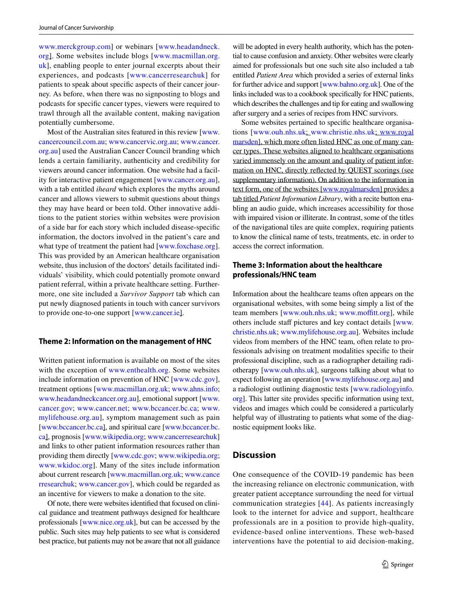[www.merckgroup.com\]](http://www.merckgroup.com) or webinars [\[www.headandneck.](http://www.headandneck.org) [org\]](http://www.headandneck.org). Some websites include blogs [[www.macmillan.org.](http://www.macmillan.org.uk) [uk](http://www.macmillan.org.uk)], enabling people to enter journal excerpts about their experiences, and podcasts [[www.cancerresearchuk\]](http://www.cancerresearchuk) for patients to speak about specifc aspects of their cancer journey. As before, when there was no signposting to blogs and podcasts for specifc cancer types, viewers were required to trawl through all the available content, making navigation potentially cumbersome.

Most of the Australian sites featured in this review [[www.](http://www.cancercouncil.com.au) [cancercouncil.com.au;](http://www.cancercouncil.com.au) [www.cancervic.org.au;](http://www.cancervic.org.au) [www.cancer.](http://www.cancer.org.au) [org.au](http://www.cancer.org.au)] used the Australian Cancer Council branding which lends a certain familiarity, authenticity and credibility for viewers around cancer information. One website had a facility for interactive patient engagement [[www.cancer.org.au](http://www.cancer.org.au)], with a tab entitled *iheard* which explores the myths around cancer and allows viewers to submit questions about things they may have heard or been told. Other innovative additions to the patient stories within websites were provision of a side bar for each story which included disease-specifc information, the doctors involved in the patient's care and what type of treatment the patient had [[www.foxchase.org](http://www.foxchase.org)]. This was provided by an American healthcare organisation website, thus inclusion of the doctors' details facilitated individuals' visibility, which could potentially promote onward patient referral, within a private healthcare setting. Furthermore, one site included a *Survivor Support* tab which can put newly diagnosed patients in touch with cancer survivors to provide one-to-one support [[www.cancer.ie](http://www.cancer.ie)].

#### **Theme 2: Information on the management of HNC**

Written patient information is available on most of the sites with the exception of [www.enthealth.org.](http://www.enthealth.org) Some websites include information on prevention of HNC [\[www.cdc.gov](http://www.cdc.gov)], treatment options [[www.macmillan.org.uk;](http://www.macmillan.org.uk) [www.ahns.info](http://www.ahns.info); [www.headandneckcancer.org.au\]](http://www.headandneckcancer.org.au), emotional support [[www.](http://www.cancer.gov) [cancer.gov](http://www.cancer.gov); [www.cancer.net;](http://www.cancer.net) [www.bccancer.bc.ca](http://www.bccancer.bc.ca); [www.](http://www.mylifehouse.org.au) [mylifehouse.org.au\]](http://www.mylifehouse.org.au), symptom management such as pain [\[www.bccancer.bc.ca](http://www.bccancer.bc.ca)], and spiritual care [[www.bccancer.bc.](http://www.bccancer.bc.ca) [ca\]](http://www.bccancer.bc.ca), prognosis [[www.wikipedia.org](http://www.wikipedia.org); [www.cancerresearchuk\]](http://www.cancerresearchuk) and links to other patient information resources rather than providing them directly [\[www.cdc.gov](http://www.cdc.gov); [www.wikipedia.org](http://www.wikipedia.org); [www.wkidoc.org\]](http://www.wkidoc.org). Many of the sites include information about current research [[www.macmillan.org.uk](http://www.macmillan.org.uk); [www.cance](http://www.cancerresearchuk) [rresearchuk](http://www.cancerresearchuk); [www.cancer.gov\]](http://www.cancer.gov), which could be regarded as an incentive for viewers to make a donation to the site.

Of note, there were websites identifed that focused on clinical guidance and treatment pathways designed for healthcare professionals [\[www.nice.org.uk](http://www.nice.org.uk)], but can be accessed by the public. Such sites may help patients to see what is considered best practice, but patients may not be aware that not all guidance

will be adopted in every health authority, which has the potential to cause confusion and anxiety. Other websites were clearly aimed for professionals but one such site also included a tab entitled *Patient Area* which provided a series of external links for further advice and support [\[www.bahno.org.uk\]](http://www.bahno.org.uk). One of the links included was to a cookbook specifcally for HNC patients, which describes the challenges and tip for eating and swallowing after surgery and a series of recipes from HNC survivors.

Some websites pertained to specifc healthcare organisations [[www.ouh.nhs.uk](http://www.ouh.nhs.uk); [www.christie.nhs.uk](http://www.christie.nhs.uk); [www.royal](http://www.royalmarsden) [marsden](http://www.royalmarsden)], which more often listed HNC as one of many cancer types. These websites aligned to healthcare organisations varied immensely on the amount and quality of patient information on HNC, directly refected by QUEST scorings (see supplementary information). On addition to the information in text form, one of the websites [\[www.royalmarsden](http://www.royalmarsden)] provides a tab titled *Patient Information Library*, with a recite button enabling an audio guide, which increases accessibility for those with impaired vision or illiterate. In contrast, some of the titles of the navigational tiles are quite complex, requiring patients to know the clinical name of tests, treatments, etc. in order to access the correct information.

### **Theme 3: Information about the healthcare professionals/HNC team**

Information about the healthcare teams often appears on the organisational websites, with some being simply a list of the team members [\[www.ouh.nhs.uk](http://www.ouh.nhs.uk); www.moffitt.org], while others include staff pictures and key contact details [[www.](http://www.christie.nhs.uk) [christie.nhs.uk;](http://www.christie.nhs.uk) [www.mylifehouse.org.au](http://www.mylifehouse.org.au)]. Websites include videos from members of the HNC team, often relate to professionals advising on treatment modalities specifc to their professional discipline, such as a radiographer detailing radiotherapy [[www.ouh.nhs.uk\]](http://www.ouh.nhs.uk), surgeons talking about what to expect following an operation [[www.mylifehouse.org.au\]](http://www.mylifehouse.org.au) and a radiologist outlining diagnostic tests [\[www.radiologyinfo.](http://www.radiologyinfo.org) [org](http://www.radiologyinfo.org)]. This latter site provides specifc information using text, videos and images which could be considered a particularly helpful way of illustrating to patients what some of the diagnostic equipment looks like.

### **Discussion**

One consequence of the COVID-19 pandemic has been the increasing reliance on electronic communication, with greater patient acceptance surrounding the need for virtual communication strategies [[44](#page-16-22)]. As patients increasingly look to the internet for advice and support, healthcare professionals are in a position to provide high-quality, evidence-based online interventions. These web-based interventions have the potential to aid decision-making,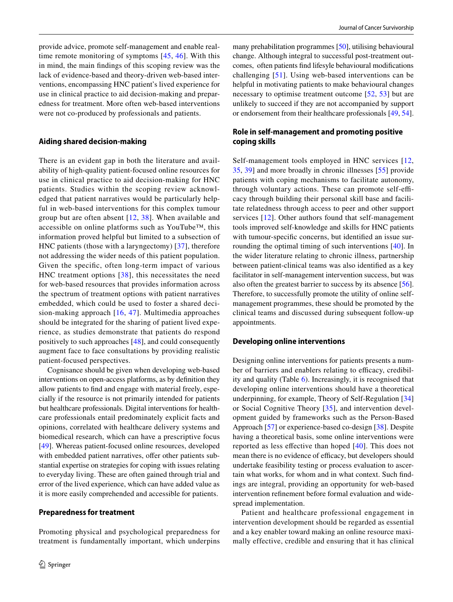provide advice, promote self-management and enable realtime remote monitoring of symptoms [[45](#page-16-23), [46](#page-16-24)]. With this in mind, the main fndings of this scoping review was the lack of evidence-based and theory-driven web-based interventions, encompassing HNC patient's lived experience for use in clinical practice to aid decision-making and preparedness for treatment. More often web-based interventions were not co-produced by professionals and patients.

#### **Aiding shared decision‑making**

There is an evident gap in both the literature and availability of high-quality patient-focused online resources for use in clinical practice to aid decision-making for HNC patients. Studies within the scoping review acknowledged that patient narratives would be particularly helpful in web-based interventions for this complex tumour group but are often absent [[12](#page-15-11), [38](#page-16-14)]. When available and accessible on online platforms such as YouTube™, this information proved helpful but limited to a subsection of HNC patients (those with a laryngectomy) [[37](#page-16-21)], therefore not addressing the wider needs of this patient population. Given the specifc, often long-term impact of various HNC treatment options [[38](#page-16-14)], this necessitates the need for web-based resources that provides information across the spectrum of treatment options with patient narratives embedded, which could be used to foster a shared decision-making approach [[16](#page-15-15), [47\]](#page-16-25). Multimedia approaches should be integrated for the sharing of patient lived experience, as studies demonstrate that patients do respond positively to such approaches [\[48\]](#page-16-26), and could consequently augment face to face consultations by providing realistic patient-focused perspectives.

Cognisance should be given when developing web-based interventions on open-access platforms, as by defnition they allow patients to fnd and engage with material freely, especially if the resource is not primarily intended for patients but healthcare professionals. Digital interventions for healthcare professionals entail predominately explicit facts and opinions, correlated with healthcare delivery systems and biomedical research, which can have a prescriptive focus [\[49\]](#page-16-27). Whereas patient-focused online resources, developed with embedded patient narratives, offer other patients substantial expertise on strategies for coping with issues relating to everyday living. These are often gained through trial and error of the lived experience, which can have added value as it is more easily comprehended and accessible for patients.

#### **Preparedness for treatment**

Promoting physical and psychological preparedness for treatment is fundamentally important, which underpins many prehabilitation programmes [\[50](#page-16-28)], utilising behavioural change. Although integral to successful post-treatment outcomes, often patients fnd lifesyle behavioural modifcations challenging [[51](#page-16-29)]. Using web-based interventions can be helpful in motivating patients to make behavioural changes necessary to optimise treatment outcome [[52](#page-16-30), [53](#page-16-31)] but are unlikely to succeed if they are not accompanied by support or endorsement from their healthcare professionals [[49,](#page-16-27) [54](#page-17-0)].

### **Role in self‑management and promoting positive coping skills**

Self-management tools employed in HNC services [[12,](#page-15-11) [35](#page-16-12), [39\]](#page-16-15) and more broadly in chronic illnesses [\[55](#page-17-1)] provide patients with coping mechanisms to facilitate autonomy, through voluntary actions. These can promote self-efficacy through building their personal skill base and facilitate relatedness through access to peer and other support services [[12\]](#page-15-11). Other authors found that self-management tools improved self-knowledge and skills for HNC patients with tumour-specifc concerns, but identifed an issue surrounding the optimal timing of such interventions [[40](#page-16-16)]. In the wider literature relating to chronic illness, partnership between patient-clinical teams was also identifed as a key facilitator in self-management intervention success, but was also often the greatest barrier to success by its absence [\[56](#page-17-2)]. Therefore, to successfully promote the utility of online selfmanagement programmes, these should be promoted by the clinical teams and discussed during subsequent follow-up appointments.

#### **Developing online interventions**

Designing online interventions for patients presents a number of barriers and enablers relating to efficacy, credibility and quality (Table [6](#page-11-0)). Increasingly, it is recognised that developing online interventions should have a theoretical underpinning, for example, Theory of Self-Regulation [[34\]](#page-16-19) or Social Cognitive Theory [[35](#page-16-12)], and intervention development guided by frameworks such as the Person-Based Approach [\[57](#page-17-3)] or experience-based co-design [[38](#page-16-14)]. Despite having a theoretical basis, some online interventions were reported as less efective than hoped [\[40\]](#page-16-16). This does not mean there is no evidence of efficacy, but developers should undertake feasibility testing or process evaluation to ascertain what works, for whom and in what context. Such fndings are integral, providing an opportunity for web-based intervention refnement before formal evaluation and widespread implementation.

Patient and healthcare professional engagement in intervention development should be regarded as essential and a key enabler toward making an online resource maximally effective, credible and ensuring that it has clinical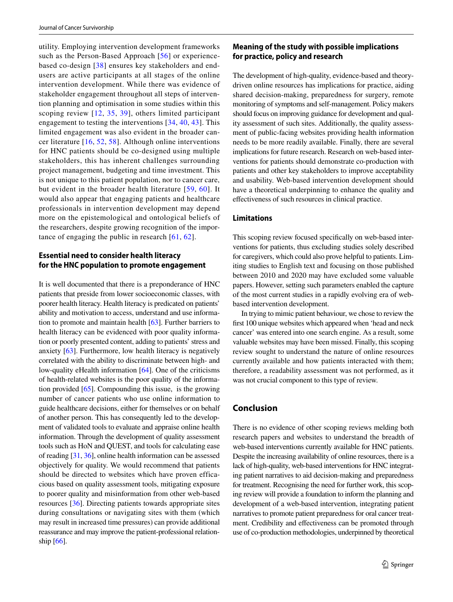utility. Employing intervention development frameworks such as the Person-Based Approach [[56](#page-17-2)] or experiencebased co-design [[38\]](#page-16-14) ensures key stakeholders and endusers are active participants at all stages of the online intervention development. While there was evidence of stakeholder engagement throughout all steps of intervention planning and optimisation in some studies within this scoping review [[12,](#page-15-11) [35,](#page-16-12) [39\]](#page-16-15), others limited participant engagement to testing the interventions [[34](#page-16-19), [40,](#page-16-16) [43](#page-16-20)]. This limited engagement was also evident in the broader cancer literature [\[16,](#page-15-15) [52,](#page-16-30) [58](#page-17-4)]. Although online interventions for HNC patients should be co-designed using multiple stakeholders, this has inherent challenges surrounding project management, budgeting and time investment. This is not unique to this patient population, nor to cancer care, but evident in the broader health literature [[59,](#page-17-5) [60\]](#page-17-6). It would also appear that engaging patients and healthcare professionals in intervention development may depend more on the epistemological and ontological beliefs of the researchers, despite growing recognition of the importance of engaging the public in research [[61](#page-17-7), [62](#page-17-8)].

### **Essential need to consider health literacy for the HNC population to promote engagement**

It is well documented that there is a preponderance of HNC patients that preside from lower socioeconomic classes, with poorer health literacy. Health literacy is predicated on patients' ability and motivation to access, understand and use information to promote and maintain health [\[63](#page-17-9)]. Further barriers to health literacy can be evidenced with poor quality information or poorly presented content, adding to patients' stress and anxiety [[63](#page-17-9)]. Furthermore, low health literacy is negatively correlated with the ability to discriminate between high- and low-quality eHealth information [\[64](#page-17-10)]. One of the criticisms of health-related websites is the poor quality of the information provided [[65\]](#page-17-11). Compounding this issue, is the growing number of cancer patients who use online information to guide healthcare decisions, either for themselves or on behalf of another person. This has consequently led to the development of validated tools to evaluate and appraise online health information. Through the development of quality assessment tools such as HoN and QUEST, and tools for calculating ease of reading [\[31,](#page-16-9) [36](#page-16-13)], online health information can be assessed objectively for quality. We would recommend that patients should be directed to websites which have proven efficacious based on quality assessment tools, mitigating exposure to poorer quality and misinformation from other web-based resources [\[36](#page-16-13)]. Directing patients towards appropriate sites during consultations or navigating sites with them (which may result in increased time pressures) can provide additional reassurance and may improve the patient-professional relationship [[66\]](#page-17-12).

### **Meaning of the study with possible implications for practice, policy and research**

The development of high-quality, evidence-based and theorydriven online resources has implications for practice, aiding shared decision-making, preparedness for surgery, remote monitoring of symptoms and self-management. Policy makers should focus on improving guidance for development and quality assessment of such sites. Additionally, the quality assessment of public-facing websites providing health information needs to be more readily available. Finally, there are several implications for future research. Research on web-based interventions for patients should demonstrate co-production with patients and other key stakeholders to improve acceptability and usability. Web-based intervention development should have a theoretical underpinning to enhance the quality and efectiveness of such resources in clinical practice.

### **Limitations**

This scoping review focused specifcally on web-based interventions for patients, thus excluding studies solely described for caregivers, which could also prove helpful to patients. Limiting studies to English text and focusing on those published between 2010 and 2020 may have excluded some valuable papers. However, setting such parameters enabled the capture of the most current studies in a rapidly evolving era of webbased intervention development.

In trying to mimic patient behaviour, we chose to review the frst 100 unique websites which appeared when 'head and neck cancer' was entered into one search engine. As a result, some valuable websites may have been missed. Finally, this scoping review sought to understand the nature of online resources currently available and how patients interacted with them; therefore, a readability assessment was not performed, as it was not crucial component to this type of review.

## **Conclusion**

There is no evidence of other scoping reviews melding both research papers and websites to understand the breadth of web-based interventions currently available for HNC patients. Despite the increasing availability of online resources, there is a lack of high-quality, web-based interventions for HNC integrating patient narratives to aid decision-making and preparedness for treatment. Recognising the need for further work, this scoping review will provide a foundation to inform the planning and development of a web-based intervention, integrating patient narratives to promote patient preparedness for oral cancer treatment. Credibility and efectiveness can be promoted through use of co-production methodologies, underpinned by theoretical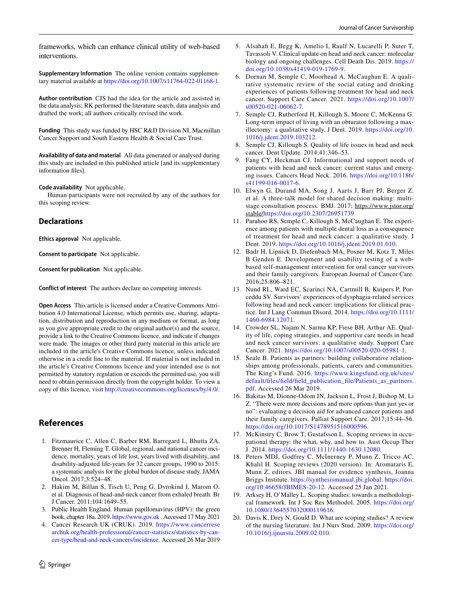frameworks, which can enhance clinical utility of web-based interventions.

**Supplementary Information** The online version contains supplementary material available at<https://doi.org/10.1007/s11764-022-01168-1>.

**Author contribution** CJS had the idea for the article and assisted in the data analysis; RK performed the literature search, data analysis and drafted the work; all authors critically revised the work.

**Funding** This study was funded by HSC R&D Division NI, Macmillan Cancer Support and South Eastern Health & Social Care Trust.

**Availability of data and material** All data generated or analysed during this study are included in this published article [and its supplementary information fles].

**Code availability** Not applicable.

Human participants were not recruited by any of the authors for this scoping review.

### **Declarations**

**Ethics approval** Not applicable.

**Consent to participate** Not applicable.

**Consent for publication** Not applicable.

**Conflict of interest** The authors declare no competing interests.

**Open Access** This article is licensed under a Creative Commons Attribution 4.0 International License, which permits use, sharing, adaptation, distribution and reproduction in any medium or format, as long as you give appropriate credit to the original author(s) and the source, provide a link to the Creative Commons licence, and indicate if changes were made. The images or other third party material in this article are included in the article's Creative Commons licence, unless indicated otherwise in a credit line to the material. If material is not included in the article's Creative Commons licence and your intended use is not permitted by statutory regulation or exceeds the permitted use, you will need to obtain permission directly from the copyright holder. To view a copy of this licence, visit <http://creativecommons.org/licenses/by/4.0/>.

# **References**

- <span id="page-15-0"></span>1. Fitzmaurice C, Allen C, Barber RM, Barregard L, Bhutta ZA, Brenner H, Fleming T. Global, regional, and national cancer incidence, mortality, years of life lost, years lived with disability, and disability-adjusted life-years for 32 cancer groups, 1990 to 2015: a systematic analysis for the global burden of disease study. JAMA Oncol. 2017;3:524–48.
- <span id="page-15-1"></span>2. Hakim M, Billan S, Tisch U, Peng G, Dvrokind I, Marom O, et al. Diagnosis of head-and-neck cancer from exhaled breath. Br J Cancer. 2011;104:1649–55.
- <span id="page-15-2"></span>3. Public Health England. Human papillomavirus (HPV): the green book, chapter 18a. 2019.<https://www.gov.uk>. Accessed 17 May 2021
- <span id="page-15-3"></span>4. Cancer Research UK (CRUK). 2019. [https://www.cancerrese](https://www.cancerresearchuk.org/health-professional/cancer-statistics/statistics-by-cancer-type/head-and-neck-cancers/incidence) [archuk.org/health-professional/cancer-statistics/statistics-by-can](https://www.cancerresearchuk.org/health-professional/cancer-statistics/statistics-by-cancer-type/head-and-neck-cancers/incidence)[cer-type/head-and-neck-cancers/incidence](https://www.cancerresearchuk.org/health-professional/cancer-statistics/statistics-by-cancer-type/head-and-neck-cancers/incidence). Accessed 26 Mar 2019
- <span id="page-15-4"></span>5. Alsahaf E, Begg K, Amelio I, Raulf N, Lucarelli P, Suter T, Tavassoli V. Clinical update on head and neck cancer: molecular biology and ongoing challenges. Cell Death Dis. 2019. [https://](https://doi.org/10.1038/s41419-019-1769-9) [doi.org/10.1038/s41419-019-1769-9](https://doi.org/10.1038/s41419-019-1769-9).
- <span id="page-15-5"></span>6. Dornan M, Semple C, Moorhead A, McCaughan E. A qualitative systematic review of the social eating and drinking experiences of patients following treatment for head and neck cancer. Support Care Cancer. 2021. [https://doi.org/10.1007/](https://doi.org/10.1007/s00520-021-06062-7) [s00520-021-06062-7](https://doi.org/10.1007/s00520-021-06062-7).
- <span id="page-15-9"></span>7. Semple CJ, Rutherford H, Killough S, Moore C, McKenna G. Long-term impact of living with an obturator following a maxillectomy: a qualitative study. J Dent. 2019. [https://doi.org/10.](https://doi.org/10.1016/j.jdent.2019.103212) [1016/j.jdent.2019.103212.](https://doi.org/10.1016/j.jdent.2019.103212)
- <span id="page-15-6"></span>8. Semple CJ, Killough S. Quality of life issues in head and neck cancer. Dent Update. 2014;41:346–53.
- <span id="page-15-7"></span>9. Fang CY, Heckman CJ. Informational and support needs of patients with head and neck cancer: current status and emerging issues. Cancers Head Neck. 2016. [https://doi.org/10.1186/](https://doi.org/10.1186/s41199-016-0017-6) [s41199-016-0017-6.](https://doi.org/10.1186/s41199-016-0017-6)
- <span id="page-15-8"></span>10. Elwyn G, Durand MA, Song J, Aarts J, Barr PJ, Berger Z. et al. A three-talk model for shared decision making: multistage consultation process. BMJ. 2017; https://www.jstor.org/ stable[/https://doi.org/10.2307/26951739](https://doi.org/10.2307/26951739)
- <span id="page-15-10"></span>11. Parahoo RS, Semple C, Killough S, McCaughan E. The experience among patients with multiple dental loss as a consequence of treatment for head and neck cancer: a qualitative study. J Dent. 2019. <https://doi.org/10.1016/j.jdent.2019.01.010>.
- <span id="page-15-11"></span>12. Badr H, Lipnick D, Diefenbach MA, Posner M, Kotz T, Miles B Genden E. Development and usability testing of a webbased self-management intervention for oral cancer survivors and their family caregivers. European Journal of Cancer Care. 2016;25:806–821.
- <span id="page-15-12"></span>13. Nund RL, Ward EC, Scarinci NA, Cartmill B, Kuipers P, Porceddu SV. Survivors' experiences of dysphagia-related services following head and neck cancer: implications for clinical practice. Int J Lang Commun Disord. 2014. [https://doi.org/10.1111/](https://doi.org/10.1111/1460-6984.12071) [1460-6984.12071.](https://doi.org/10.1111/1460-6984.12071)
- <span id="page-15-13"></span>14. Crowder SL, Najam N, Sarma KP, Fiese BH, Arthur AE. Quality of life, coping strategies, and supportive care needs in head and neck cancer survivors: a qualitative study. Support Care Cancer. 2021. [https://doi.org/10.1007/s00520-020-05981-1.](https://doi.org/10.1007/s00520-020-05981-1)
- <span id="page-15-14"></span>15. Seale B. Patients as partners: building collaborative relationships among professionals, patients, carers and communities. The King's Fund. 2016. [https://www.kingsfund.org.uk/sites/](https://www.kingsfund.org.uk/sites/default/files/field/field_publication_file/Patients_as_partners.pdf) [default/fles/feld/feld\\_publication\\_fle/Patients\\_as\\_partners.](https://www.kingsfund.org.uk/sites/default/files/field/field_publication_file/Patients_as_partners.pdf) [pdf](https://www.kingsfund.org.uk/sites/default/files/field/field_publication_file/Patients_as_partners.pdf). Accessed 26 Mar 2019.
- <span id="page-15-15"></span>16. Bakitas M, Dionne-Odom JN, Jackson L, Frost J, Bishop M, Li Z. "There were more decisions and more options than just yes or no": evaluating a decision aid for advanced cancer patients and their family caregivers. Palliat Support Care. 2017;15:44–56. [https://doi.org/10.1017/S1478951516000596.](https://doi.org/10.1017/S1478951516000596)
- <span id="page-15-16"></span>17. McKinstry C, Brow T, Gustafsson L. Scoping reviews in occupational therapy: the what, why, and how to. Aust Occup Ther J. 2014. [https://doi.org/10.1111/1440-1630.12080.](https://doi.org/10.1111/1440-1630.12080)
- <span id="page-15-17"></span>18. Peters MDJ, Godfrey C, McInerney P, Munn Z, Tricco AC, Khalil H. Scoping reviews (2020 version). In: Aromataris E, Munn Z, editors. JBI manual for evidence synthesis, Joanna Briggs Institute. [https://synthesismanual.jbi.global.](https://synthesismanual.jbi.global) [https://doi.](https://doi.org/10.46658/JBIMES-20-12) [org/10.46658/JBIMES-20-12.](https://doi.org/10.46658/JBIMES-20-12) Accessed 25 Jan 2021.
- <span id="page-15-18"></span>19. Arksey H, O'Malley L. Scoping studies: towards a methodological framework. Int J Soc Res Methodol. 2005. [https://doi.org/](https://doi.org/10.1080/1364557032000119616) [10.1080/1364557032000119616](https://doi.org/10.1080/1364557032000119616).
- <span id="page-15-19"></span>20. Davis K, Drey N, Gould D. What are scoping studies? A review of the nursing literature. Int J Nurs Stud. 2009. [https://doi.org/](https://doi.org/10.1016/j.ijnurstu.2009.02.010) [10.1016/j.ijnurstu.2009.02.010.](https://doi.org/10.1016/j.ijnurstu.2009.02.010)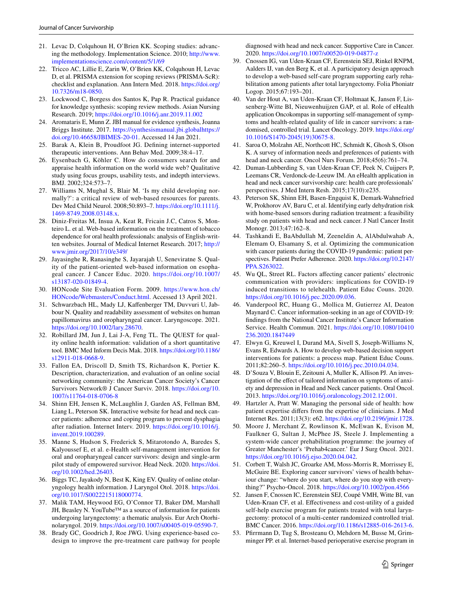- <span id="page-16-0"></span>21. Levac D, Colquhoun H, O'Brien KK. Scoping studies: advancing the methodology. Implementation Science. 2010; [http://www.](http://www.implementationscience.com/content/5/1/69) [implementationscience.com/content/5/1/69](http://www.implementationscience.com/content/5/1/69)
- <span id="page-16-1"></span>22. Tricco AC, Lillie E, Zarin W, O'Brien KK, Colquhoun H, Levac D, et al. PRISMA extension for scoping reviews (PRISMA-ScR): checklist and explanation. Ann Intern Med. 2018. [https://doi.org/](https://doi.org/10.7326/m18-0850) [10.7326/m18-0850.](https://doi.org/10.7326/m18-0850)
- <span id="page-16-2"></span>23. Lockwood C, Borgess dos Santos K, Pap R. Practical guidance for knowledge synthesis: scoping review methods. Asian Nursing Research. 2019;<https://doi.org/10.1016/j.anr.2019.11.002>
- <span id="page-16-3"></span>24. Aromataris E, Munn Z. JBI manual for evidence synthesis, Joanna Briggs Institute. 2017.<https://synthesismanual.jbi.global>[https://](https://doi.org/10.46658/JBIMES-20-01) [doi.org/10.46658/JBIMES-20-01.](https://doi.org/10.46658/JBIMES-20-01) Accessed 14 Jan 2021.
- <span id="page-16-4"></span>25. Barak A, Klein B, Proudfoot JG. Defning internet-supported therapeutic interventions. Ann Behav Med. 2009;38:4–17.
- <span id="page-16-5"></span>26. Eysenbach G, Köhler C. How do consumers search for and appraise health information on the world wide web? Qualitative study using focus groups, usability tests, and indepth interviews. BMJ. 2002;324:573–7.
- <span id="page-16-6"></span>27. Williams N, Mughal S, Blair M. 'Is my child developing normally?': a critical review of web-based resources for parents. Dev Med Child Neurol. 2008;50:893–7. [https://doi.org/10.1111/j.](https://doi.org/10.1111/j.1469-8749.2008.03148.x) [1469-8749.2008.03148.x.](https://doi.org/10.1111/j.1469-8749.2008.03148.x)
- 28. Diniz-Freitas M, Insua A, Keat R, Fricain J.C, Catros S, Monteiro L. et al. Web-based information on the treatment of tobacco dependence for oral health professionals: analysis of English-written websites. Journal of Medical Internet Research. 2017; [http://](http://www.jmir.org/2017/10/e349/) [www.jmir.org/2017/10/e349/](http://www.jmir.org/2017/10/e349/)
- <span id="page-16-7"></span>29. Jayasinghe R, Ranasinghe S, Jayarajah U, Seneviratne S. Quality of the patient-oriented web-based information on esophageal cancer. J Cancer Educ. 2020. [https://doi.org/10.1007/](https://doi.org/10.1007/s13187-020-01849-4) [s13187-020-01849-4](https://doi.org/10.1007/s13187-020-01849-4).
- <span id="page-16-8"></span>30. HONcode Site Evaluation Form. 2009. [https://www.hon.ch/](https://www.hon.ch/HONcode/Webmasters/Conduct.html) [HONcode/Webmasters/Conduct.html](https://www.hon.ch/HONcode/Webmasters/Conduct.html). Accessed 13 April 2021.
- <span id="page-16-9"></span>31. Schwarzbach HL, Mady LJ, Kafenberger TM, Duvvuri U, Jabbour N. Quality and readability assessment of websites on human papillomavirus and oropharyngeal cancer. Laryngoscope. 2021. [https://doi.org/10.1002/lary.28670.](https://doi.org/10.1002/lary.28670)
- <span id="page-16-10"></span>32. Robillard JM, Jun J, Lai J-A, Feng TL. The QUEST for quality online health information: validation of a short quantitative tool. BMC Med Inform Decis Mak. 2018. [https://doi.org/10.1186/](https://doi.org/10.1186/s12911-018-0668-9) [s12911-018-0668-9.](https://doi.org/10.1186/s12911-018-0668-9)
- <span id="page-16-11"></span>33. Fallon EA, Driscoll D, Smith TS, Richardson K, Portier K. Description, characterization, and evaluation of an online social networking community: the American Cancer Society's Cancer Survivors Network® J Cancer Surviv. 2018. [https://doi.org/10.](https://doi.org/10.1007/s11764-018-0706-8) [1007/s11764-018-0706-8](https://doi.org/10.1007/s11764-018-0706-8)
- <span id="page-16-19"></span>34. Shinn EH, Jensen K, McLaughlin J, Garden AS, Fellman BM, Liang L, Peterson SK. Interactive website for head and neck cancer patients: adherence and coping program to prevent dysphagia after radiation. Internet Interv. 2019. [https://doi.org/10.1016/j.](https://doi.org/10.1016/j.invent.2019.100289) [invent.2019.100289](https://doi.org/10.1016/j.invent.2019.100289).
- <span id="page-16-12"></span>35. Manne S, Hudson S, Frederick S, Mitarotondo A, Baredes S, Kalyoussef E, et al. e-Health self-management intervention for oral and oropharyngeal cancer survivors: design and single-arm pilot study of empowered survivor. Head Neck. 2020. [https://doi.](https://doi.org/10.1002/hed.26403) [org/10.1002/hed.26403](https://doi.org/10.1002/hed.26403).
- <span id="page-16-13"></span>36. Biggs TC, Jayakody N, Best K, King EV. Quality of online otolaryngology health information. J Laryngol Otol. 2018. [https://doi.](https://doi.org/10.1017/S0022215118000774) [org/10.1017/S0022215118000774.](https://doi.org/10.1017/S0022215118000774)
- <span id="page-16-21"></span>37. Malik TAM, Heywood EG, O'Connor TJ, Baker DM, Marshall JH, Beasley N. YouTube™ as a source of information for patients undergoing laryngectomy: a thematic analysis. Eur Arch Otorhinolaryngol. 2019.<https://doi.org/10.1007/s00405-019-05590-7>.
- <span id="page-16-14"></span>38. Brady GC, Goodrich J, Roe JWG. Using experience-based codesign to improve the pre-treatment care pathway for people

diagnosed with head and neck cancer. Supportive Care in Cancer. 2020. <https://doi.org/10.1007/s00520-019-04877-z>

- <span id="page-16-15"></span>39. Cnossen IG, van Uden-Kraan CF, Eerenstein SEJ, Rinkel RNPM, Aalders IJ, van den Berg K, et al. A participatory design approach to develop a web-based self-care program supporting early rehabilitation among patients after total laryngectomy. Folia Phoniatr Logop. 2015;67:193–201.
- <span id="page-16-16"></span>40. Van der Hout A, van Uden-Kraan CF, Holtmaat K, Jansen F, Lissenberg-Witte BI, Nieuwenhuijzen GAP, et al. Role of eHealth application Oncokompas in supporting self-management of symptoms and health-related quality of life in cancer survivors: a randomised, controlled trial. Lancet Oncology. 2019. [https://doi.org/](https://doi.org/10.1016/S1470-2045(19)30675-8) [10.1016/S1470-2045\(19\)30675-8](https://doi.org/10.1016/S1470-2045(19)30675-8).
- <span id="page-16-17"></span>41. Saroa O, Molzahn AE, Northcott HC, Schmidt K, Ghosh S, Olson K. A survey of information needs and preferences of patients with head and neck cancer. Oncol Nurs Forum. 2018;45(6):761-74.
- <span id="page-16-18"></span>42. Duman-Lubberding S, van Uden-Kraan CF, Peek N, Cuijpers P, Leemans CR, Verdonck-de-Leeuw IM. An eHealth application in head and neck cancer survivorship care: health care professionals' perspectives. J Med Intern Resh. 2015;17(10):e235.
- <span id="page-16-20"></span>43. Peterson SK, Shinn EH, Basen-Engquist K, Demark-Wahnefried W, Prokhorov AV, Baru C, et al. Identifying early dehydration risk with home-based sensors during radiation treatment: a feasibility study on patients with head and neck cancer. J Natl Cancer Instit Monogr. 2013;47:162–8.
- <span id="page-16-22"></span>44. Tashkandi E, BaAbdullah M, Zeeneldin A, AlAbdulwahab A, Elemam O, Elsamany S, et al. Optimizing the communication with cancer patients during the COVID-19 pandemic: patient perspectives. Patient Prefer Adherence. 2020. [https://doi.org/10.2147/](https://doi.org/10.2147/PPA.S263022) [PPA.S263022](https://doi.org/10.2147/PPA.S263022).
- <span id="page-16-23"></span>45. Wu QL, Street RL. Factors afecting cancer patients' electronic communication with providers: implications for COVID-19 induced transitions to telehealth. Patient Educ Couns. 2020. [https://doi.org/10.1016/j.pec.2020.09.036.](https://doi.org/10.1016/j.pec.2020.09.036)
- <span id="page-16-24"></span>46. Vanderpool RC, Huang G., Mollica M, Gutierrez AI, Deaton Maynard C. Cancer information-seeking in an age of COVID-19: fndings from the National Cancer Institute's Cancer Information Service. Health Commun. 2021. [https://doi.org/10.1080/10410](https://doi.org/10.1080/10410236.2020.1847449) [236.2020.1847449](https://doi.org/10.1080/10410236.2020.1847449)
- <span id="page-16-25"></span>47. Elwyn G, Kreuwel I, Durand MA, Sivell S, Joseph-Williams N, Evans R, Edwards A. How to develop web-based decision support interventions for patients: a process map. Patient Educ Couns. 2011;82:260–5.<https://doi.org/10.1016/j.pec.2010.04.034>.
- <span id="page-16-26"></span>48. D'Souza V, Blouin E, Zeitouni A, Muller K, Allison PJ. An investigation of the efect of tailored information on symptoms of anxiety and depression in Head and Neck cancer patients. Oral Oncol. 2013. <https://doi.org/10.1016/j.oraloncology.2012.12.001>.
- <span id="page-16-27"></span>49. Hartzler A, Pratt W. Managing the personal side of health: how patient expertise difers from the expertise of clinicians. J Med Internet Res. 2011;13(3): e62.<https://doi.org/10.2196/jmir.1728>.
- <span id="page-16-28"></span>50. Moore J, Merchant Z, Rowlinson K, McEwan K, Evison M, Faulkner G, Sultan J, McPhee JS, Steele J. Implementing a system-wide cancer prehabilitation programme: the journey of Greater Manchester's 'Prehab4cancer.' Eur J Surg Oncol. 2021. [https://doi.org/10.1016/j.ejso.2020.04.042.](https://doi.org/10.1016/j.ejso.2020.04.042)
- <span id="page-16-29"></span>51. Corbett T, Walsh JC, Groarke AM, Moss-Morris R, Morrissey E, McGuire BE. Exploring cancer survivors' views of health behaviour change: "where do you start, where do you stop with everything?" Psycho‐Oncol. 2018. <https://doi.org/10.1002/pon.4566>
- <span id="page-16-30"></span>52. Jansen F, Cnossen IC, Eerenstein SEJ, Coupé VMH, Witte BI, van Uden-Kraan CF, et al. Efectiveness and cost-utility of a guided self-help exercise program for patients treated with total laryngectomy: protocol of a multi-center randomized controlled trial. BMC Cancer. 2016.<https://doi.org/10.1186/s12885-016-2613-6>.
- <span id="page-16-31"></span>53. Pfrrmann D, Tug S, Brosteanu O, Mehdorn M, Busse M, Grimminger PP. et al. Internet-based perioperative exercise program in